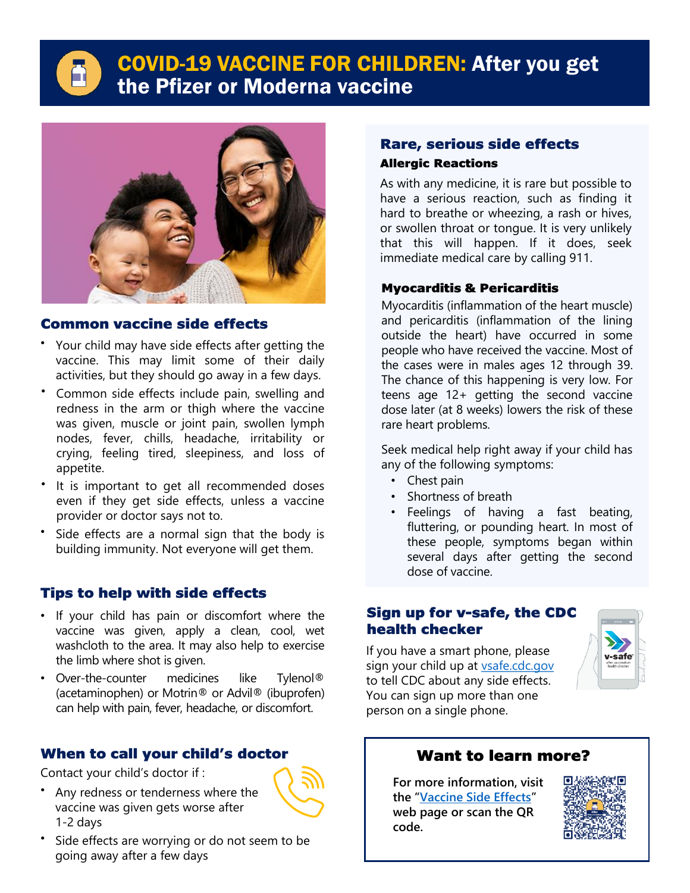Δ

# COVID-19 VACCINE FOR CHILDREN: After you get the Pfizer or Moderna vaccine



## Common vaccine side effects

- Your child may have side effects after getting the vaccine. This may limit some of their daily activities, but they should go away in a few days.
- Common side effects include pain, swelling and redness in the arm or thigh where the vaccine was given, muscle or joint pain, swollen lymph nodes, fever, chills, headache, irritability or crying, feeling tired, sleepiness, and loss of appetite.
- It is important to get all recommended doses even if they get side effects, unless a vaccine provider or doctor says not to.
- Side effects are a normal sign that the body is building immunity. Not everyone will get them.

## Tips to help with side effects

- If your child has pain or discomfort where the vaccine was given, apply a clean, cool, wet washcloth to the area. It may also help to exercise the limb where shot is given.
- Over-the-counter medicines like Tylenol® (acetaminophen) or Motrin® or Advil® (ibuprofen) can help with pain, fever, headache, or discomfort.

### When to call your child's doctor

Contact your child's doctor if :

- Any redness or tenderness where the vaccine was given gets worse after 1-2 days
- Side effects are worrying or do not seem to be going away after a few days

## Rare, serious side effects Allergic Reactions

As with any medicine, it is rare but possible to have a serious reaction, such as finding it hard to breathe or wheezing, a rash or hives, or swollen throat or tongue. It is very unlikely that this will happen. If it does, seek immediate medical care by calling 911.

#### Myocarditis & Pericarditis

Myocarditis (inflammation of the heart muscle) and pericarditis (inflammation of the lining outside the heart) have occurred in some people who have received the vaccine. Most of the cases were in males ages 12 through 39. The chance of this happening is very low. For teens age 12+ getting the second vaccine dose later (at 8 weeks) lowers the risk of these rare heart problems.

Seek medical help right away if your child has any of the following symptoms:

- Chest pain
- Shortness of breath
- Feelings of having a fast beating, fluttering, or pounding heart. In most of these people, symptoms began within several days after getting the second dose of vaccine.

#### Sign up for v-safe, the CDC health checker

If you have a smart phone, please sign your child up at [vsafe.cdc.gov](http://vsafe.cdc.gov/) to tell CDC about any side effects. You can sign up more than one person on a single phone.



## Want to learn more?

**For more information, visit the "[Vaccine Side Effects](http://publichealth.lacounty.gov/acd/ncorona2019/vaccine/aftervaccination/)" web page or scan the QR code.**